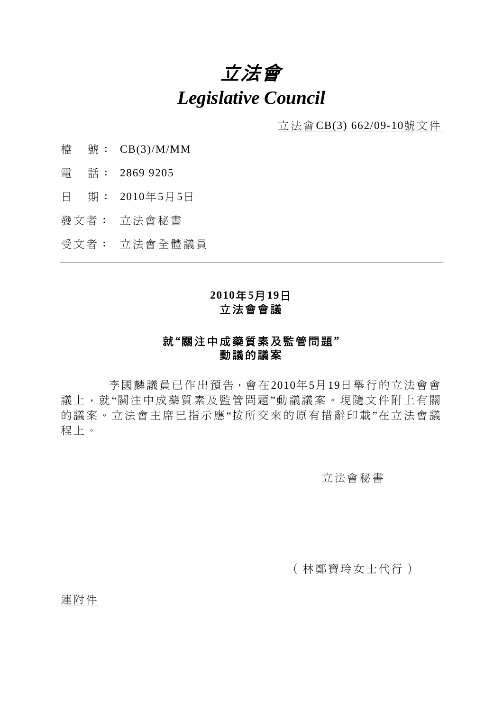# 立法會 *Legislative Council*

立法會CB(3) 662/09-10號文件

- 檔 號: CB(3)/M/MM
- 電 話: 2869 9205
- 日 期: 2010年5月5日
- 發文者: 立法會秘書
- 受文者: 立法會全體議員

## **2010**年**5**月**19**日 立法會會議

### 就**"**關注中成藥質素及監管問題**"**  動議的議案

 李國麟議員已作出預告,會在2010年5月19日舉行的立法會會 議上,就"關注中成藥質素及監管問題"動議議案。現隨文件附上有關 的議案。立法會主席已指示應"按所交來的原有措辭印載"在立法會議 程上。

#### 立法會秘書

(林鄭寶玲女士代行)

連附件